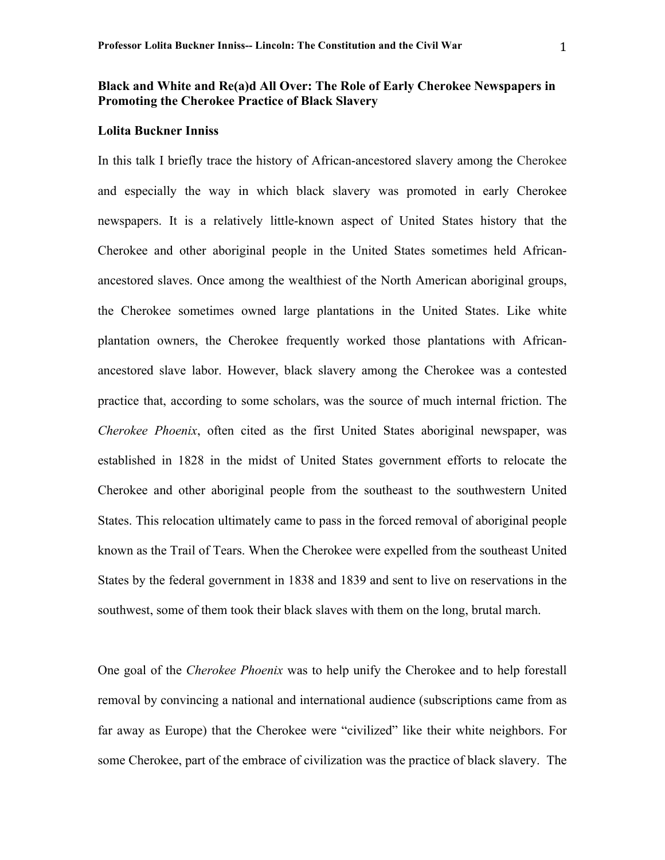## **Black and White and Re(a)d All Over: The Role of Early Cherokee Newspapers in Promoting the Cherokee Practice of Black Slavery**

## **Lolita Buckner Inniss**

In this talk I briefly trace the history of African-ancestored slavery among the Cherokee and especially the way in which black slavery was promoted in early Cherokee newspapers. It is a relatively little-known aspect of United States history that the Cherokee and other aboriginal people in the United States sometimes held Africanancestored slaves. Once among the wealthiest of the North American aboriginal groups, the Cherokee sometimes owned large plantations in the United States. Like white plantation owners, the Cherokee frequently worked those plantations with Africanancestored slave labor. However, black slavery among the Cherokee was a contested practice that, according to some scholars, was the source of much internal friction. The *Cherokee Phoenix*, often cited as the first United States aboriginal newspaper, was established in 1828 in the midst of United States government efforts to relocate the Cherokee and other aboriginal people from the southeast to the southwestern United States. This relocation ultimately came to pass in the forced removal of aboriginal people known as the Trail of Tears. When the Cherokee were expelled from the southeast United States by the federal government in 1838 and 1839 and sent to live on reservations in the southwest, some of them took their black slaves with them on the long, brutal march.

One goal of the *Cherokee Phoenix* was to help unify the Cherokee and to help forestall removal by convincing a national and international audience (subscriptions came from as far away as Europe) that the Cherokee were "civilized" like their white neighbors. For some Cherokee, part of the embrace of civilization was the practice of black slavery. The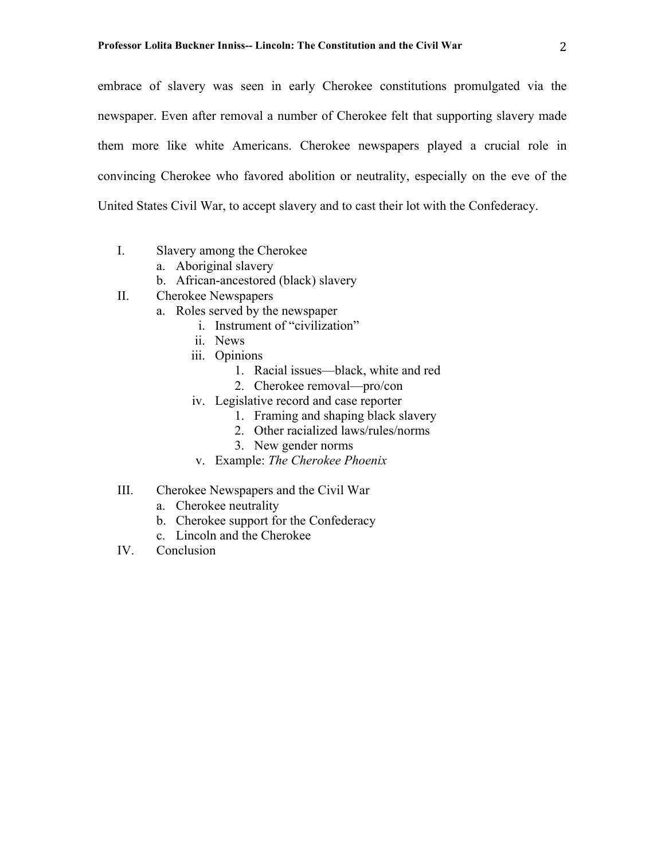embrace of slavery was seen in early Cherokee constitutions promulgated via the newspaper. Even after removal a number of Cherokee felt that supporting slavery made them more like white Americans. Cherokee newspapers played a crucial role in convincing Cherokee who favored abolition or neutrality, especially on the eve of the United States Civil War, to accept slavery and to cast their lot with the Confederacy.

- I. Slavery among the Cherokee
	- a. Aboriginal slavery
	- b. African-ancestored (black) slavery
- II. Cherokee Newspapers
	- a. Roles served by the newspaper
		- i. Instrument of "civilization"
		- ii. News
		- iii. Opinions
			- 1. Racial issues—black, white and red
			- 2. Cherokee removal—pro/con
		- iv. Legislative record and case reporter
			- 1. Framing and shaping black slavery
			- 2. Other racialized laws/rules/norms
			- 3. New gender norms
		- v. Example: *The Cherokee Phoenix*
- III. Cherokee Newspapers and the Civil War
	- a. Cherokee neutrality
	- b. Cherokee support for the Confederacy
	- c. Lincoln and the Cherokee
- IV. Conclusion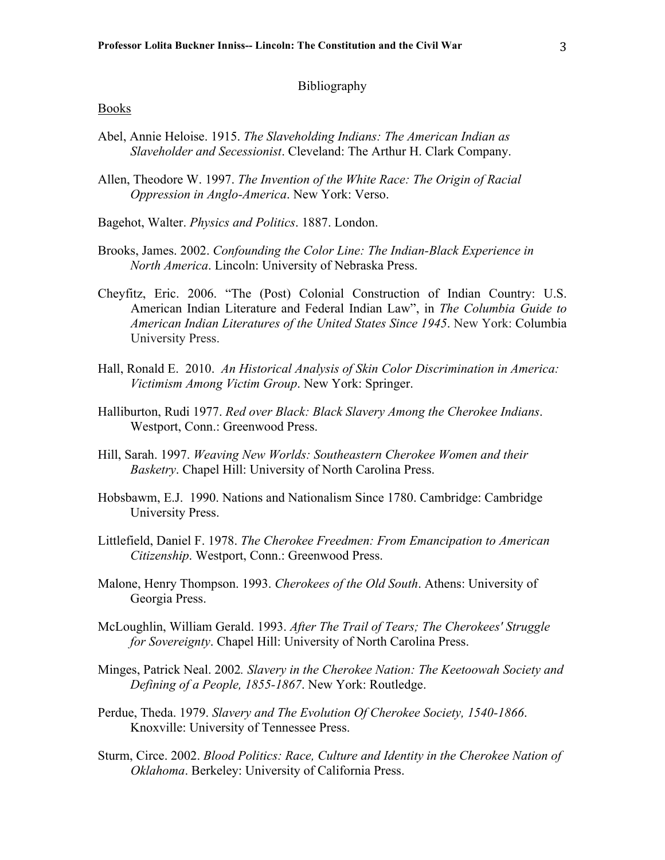## Bibliography

## Books

- Abel, Annie Heloise. 1915. *The Slaveholding Indians: The American Indian as Slaveholder and Secessionist*. Cleveland: The Arthur H. Clark Company.
- Allen, Theodore W. 1997. *The Invention of the White Race: The Origin of Racial Oppression in Anglo-America*. New York: Verso.
- Bagehot, Walter. *Physics and Politics*. 1887. London.
- Brooks, James. 2002. *Confounding the Color Line: The Indian-Black Experience in North America*. Lincoln: University of Nebraska Press.
- Cheyfitz, Eric. 2006. "The (Post) Colonial Construction of Indian Country: U.S. American Indian Literature and Federal Indian Law", in *The Columbia Guide to American Indian Literatures of the United States Since 1945*. New York: Columbia University Press.
- Hall, Ronald E. 2010. *An Historical Analysis of Skin Color Discrimination in America: Victimism Among Victim Group*. New York: Springer.
- Halliburton, Rudi 1977. *Red over Black: Black Slavery Among the Cherokee Indians*. Westport, Conn.: Greenwood Press.
- Hill, Sarah. 1997. *Weaving New Worlds: Southeastern Cherokee Women and their Basketry*. Chapel Hill: University of North Carolina Press.
- Hobsbawm, E.J. 1990. Nations and Nationalism Since 1780. Cambridge: Cambridge University Press.
- Littlefield, Daniel F. 1978. *The Cherokee Freedmen: From Emancipation to American Citizenship*. Westport, Conn.: Greenwood Press.
- Malone, Henry Thompson. 1993. *Cherokees of the Old South*. Athens: University of Georgia Press.
- McLoughlin, William Gerald. 1993. *After The Trail of Tears; The Cherokees' Struggle for Sovereignty*. Chapel Hill: University of North Carolina Press.
- Minges, Patrick Neal. 2002*. Slavery in the Cherokee Nation: The Keetoowah Society and Defining of a People, 1855-1867*. New York: Routledge.
- Perdue, Theda. 1979. *Slavery and The Evolution Of Cherokee Society, 1540-1866*. Knoxville: University of Tennessee Press.
- Sturm, Circe. 2002. *Blood Politics: Race, Culture and Identity in the Cherokee Nation of Oklahoma*. Berkeley: University of California Press.